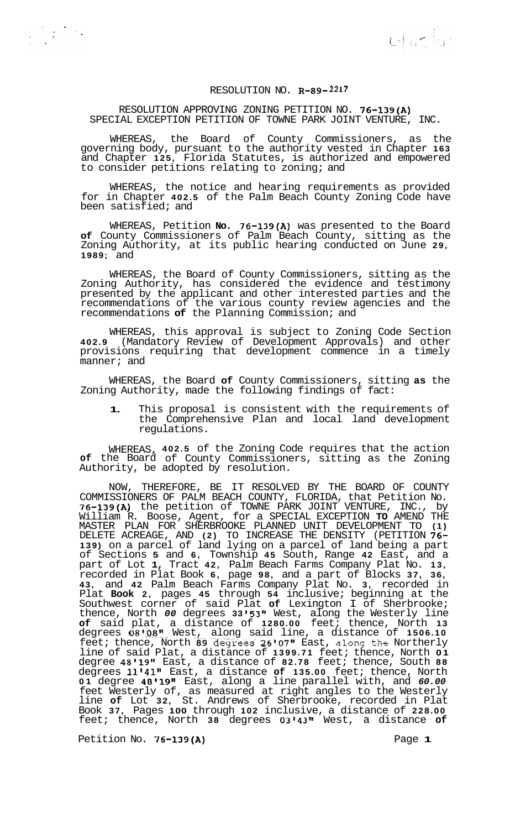$\omega$  as  $a$ .

## RESOLUTION NO. **R-89-2217**

## RESOLUTION APPROVING ZONING PETITION NO. **76-139(A)**  SPECIAL EXCEPTION PETITION OF TOWNE PARK JOINT VENTURE, INC.

WHEREAS, the Board of County Commissioners, as the governing body, pursuant to the authority vested in Chapter **163**  and Chapter **125,** Florida Statutes, is authorized and empowered to consider petitions relating to zoning; and

WHEREAS, the notice and hearing requirements as provided for in Chapter **402.5** of the Palm Beach County Zoning Code have been satisfied; and

WHEREAS, Petition **No. 76-139(A)** was presented to the Board **of** County Commissioners of Palm Beach County, sitting as the Zoning Authority, at its public hearing conducted on June **29, 1989;** and

WHEREAS, the Board of County Commissioners, sitting as the Zoning Authority, has considered the evidence and testimony presented by the applicant and other interested parties and the recommendations of the various county review agencies and the recommendations **of** the Planning Commission; and

WHEREAS, this approval is subject to Zoning Code Section **402.9** (Mandatory Review of Development Approvals) and other provisions requiring that development commence in a timely manner; and

WHEREAS, the Board **of** County Commissioners, sitting **as** the Zoning Authority, made the following findings of fact:

**1.** This proposal is consistent with the requirements of the Comprehensive Plan and local land development regulations.

WHEREAS, **402.5** of the Zoning Code requires that the action **of** the Board of County Commissioners, sitting as the Zoning Authority, be adopted by resolution.

NOW, THEREFORE, BE IT RESOLVED BY THE BOARD OF COUNTY COMMISSIONERS OF PALM BEACH COUNTY, FLORIDA, that Petition No. **76-139(A)** the petition of TOWNE PARK JOINT VENTURE, INC., by William R. Boose, Agent, for a SPECIAL EXCEPTION **TO** AMEND THE MASTER PLAN FOR SHERBROOKE PLANNED UNIT DEVELOPMENT TO **(1)**  DELETE ACREAGE, AND **(2)** TO INCREASE THE DENSITY (PETITION **76- 139)** on a parcel of land lying on a parcel of land being a part of Sections **5** and **6,** Township **45** South, Range **42** East, and a part of Lot **1,** Tract **42,** Palm Beach Farms Company Plat No. **13,**  recorded in Plat Book **6,** page **98,** and a part of Blocks **37, 36, 43,** and **42** Palm Beach Farms Company Plat No. **3,** recorded in Plat **Book 2,** pages **45** through **54** inclusive; beginning at the Southwest corner of said Plat **of** Lexington I of Sherbrooke; thence, North *00* degrees 33'53" West, along the Westerly line **of** said plat, a distance of **1280.00** feet; thence, North **13**  degrees **0810.8~1!..-** West, along said line, a distance of **1506.10**  feet; thence, North 89 degrees 26'07" East, along the Northerly line of said Plat, a distance of **1399.71** feet; thence, North **01**  degree **48119t1** East, a distance of **82.78** feet; thence, South **88**  degrees **1114111** East, a distance **of 135.00** feet; thence, North **01** degree **48'19"** East, along a line parallel with, and *60.00*  feet Westerly of, as measured at right angles to the Westerly line **of** Lot **32,** St. Andrews of Sherbrooke, recorded in Plat Book **37,** Pages **100** through **102** inclusive, a distance of **228.00**  feet; thence, North **38** degrees **03I43l1** West, a distance **of** 

Petition No. **76-139(A)** Page **1**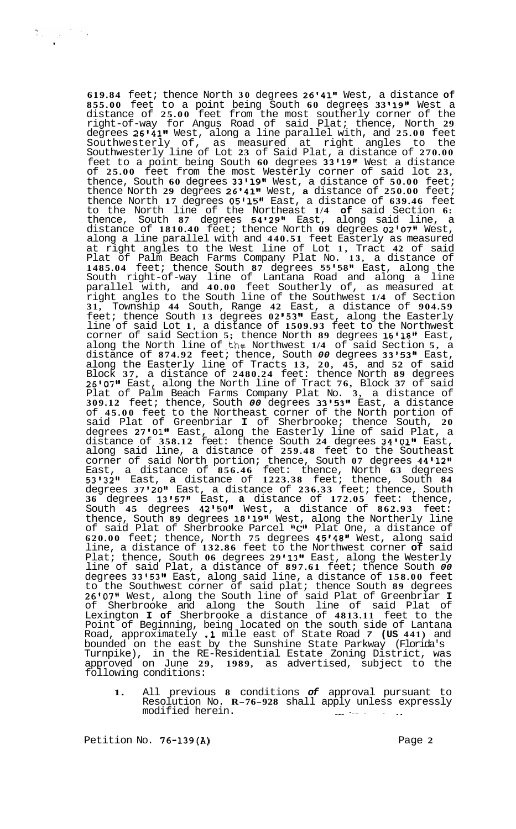**619.84** feet; thence North **30** degrees **26'41"** West, a distance **of 855.00** feet to a point being South **60** degrees **33 19"** West a distance of **25.00** feet from the most southerly corner of the right-of-way for Angus Road of said Plat; thence, North **29**  degrees 26'41" West, along a line parallel with, and 25.00 feet<br>Southwesterly of, as measured at right angles to the Southwesterly of, as measured at right angles to the Southwesterly line of Lot **23** of Said Plat, a distance of **270.00**  feet to a point being South **60** degrees **33'19It** West a distance of **25.00** feet from the most Westerly corner of said lot **23,**  thence, South **60** degrees **33I19l1** West, a distance of **50.00** feet; thence North **29** degrees **26'41tt** West, **a** distance of **250.00** feet; thence North **17** degrees **051151t** East, a distance of **639.46** feet to the North line of the Northeast **1/4 of** said Section **6:**  thence, South **87** degrees **54'29"** East, along said line, a distance of **1810.40** feet; thence North **09** degrees **0280711** West, along a line parallel with and **440.51** feet Easterly as measured at right angles to the West line of Lot **1,** Tract **42** of said Plat of Palm Beach Farms Company Plat No. **13,** a distance of **1485.04** feet; thence South **87** degrees **5515811** East, along the South right-of-way line of Lantana Road and along a line parallel with, and **40.00** feet Southerly of, as measured at right angles to the South line of the Southwest **1/4** of Section **31,** Township **44** South, Range **42** East, a distance of **904.59**  feet; thence South 13 degrees 02'53" East, along the Easterly line of said Lot **1,** a distance of **1509.93** feet to the Northwest corner of said Section **5;** thence North **89** degrees **16v181'** East, along the North line of .the Northwest **1/4** of said Section **5,** a distance of **874.92** feet; thence, South *00* degrees **3315311** East, along the Easterly line of Tracts **13, 20, 45,** and **52** of said Block **37,** a distance of **2480.24** feet: thence North **89** degrees **2610711** East, along the North line of Tract **76,** Block **37** of said Plat of Palm Beach Farms Company Plat No. **3,** a distance of **309.12** feet; thence, South *00* degrees **33@53l@** East, a distance of **45.00** feet to the Northeast corner of the North portion of said Plat of Greenbriar **I** of Sherbrooke; thence South, **20**  degrees 27'01" East, along the Easterly line of said Plat, a distance of **358.12** feet: thence South **24** degrees **34v0111** East, along said line, a distance of **259.48** feet to the Southeast corner of said North portion; thence, South 07 degrees 44'12" East, a distance of **856.46** feet: thence, North **63** degrees **53'32It** East, a distance of **1223.38** feet; thence, South **84**  degrees **37'20tt** East, a distance of **236.33** feet; thence, South **36** degrees **13157t1** East, **a** distance of **172.05** feet: thence, South **45** degrees **42l5Olf** West, a distance of **862.93** feet: thence, South 89 degrees 18'19" West, along the Northerly line of said Plat of Sherbrooke Parcel "C" Plat One, a distance of **620.00** feet; thence, North **75** degrees **45I48l1** West, along said line, a distance of **132.86** feet to the Northwest corner **of** said Plat; thence, South **06** degrees **29 I13"** East, along the Westerly line of said Plat, a distance of **897.61** feet; thence South *00*  degrees **33153t1** East, along said line, a distance of **158.00** feet to the Southwest corner of said plat; thence South **89** degrees **261071v** West, along the South line of said Plat of Greenbriar **I**  of Sherbrooke and along the South line of said Plat of Lexington **I of** Sherbrooke a distance of **4813.11** feet to the Point of Beginning, being located on the south side of Lantana Road, approximately **.1** mile east of State Road *7* **(US 441)** and bounded on the east by the Sunshine State Parkway (Florida's Turnpike), in the RE-Residential Estate Zoning District, was approved on June **29, 1989,** as advertised, subject to the following conditions:

**1.** All previous **8** conditions *of* approval pursuant to Resolution No. **R-76-928** shall apply unless expressly Resolution NO. **R-70-920** Shail apply whiess

Petition No. **76-139(A)** Page **2**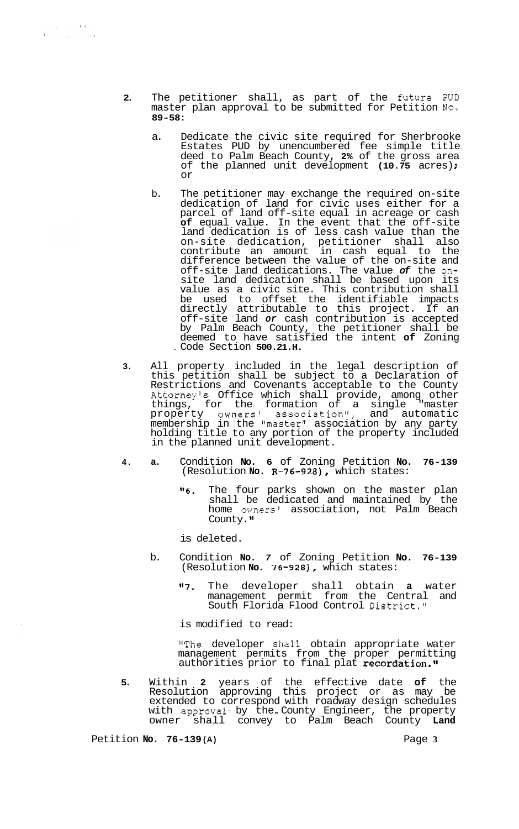- **2.** The petitioner shall, as part of the future PUD master plan approval to be submitted for Petition **NO. 89-58:** 
	- a. Dedicate the civic site required for Sherbrooke Estates PUD by unencumbered fee simple title deed to Palm Beach County, **2%** of the gross area of the planned unit development **(10.75** acres) ; or
	- b. The petitioner may exchange the required on-site dedication of land for civic uses either for a parcel of land off-site equal in acreage or cash of equal value. In the event that the off-site land dedication is of less cash value than the on-site dedication, petitioner shall also contribute an amount in cash equal to the difference between the value of the on-site and off-site land dedications. The value *of* the onsite land dedication shall be based upon its value as a civic site. This contribution shall be used to offset the identifiable impacts directly attributable to this project. If an off-site land *or* cash contribution is accepted by Palm Beach County, the petitioner shall be deemed to have satisfied the intent **of** Zoning . Code Section **500.21.H.**
- **3.** All property included in the legal description of this petition shall be subject to a Declaration of Restrictions and Covenants acceptable to the County Attorney's Office which shall provide, among other things, for the formation of a single "master property owners' association", and automatic membership in the "master" association by any party holding title to any portion of the property included in the planned unit development.
- **4. a.** Condition **No. 6** of Zoning Petition **No. 76-139**  (Resolution **No. R-76-928),** which states:
	- **"6.** The four parks shown on the master plan shall be dedicated and maintained by the home owners' association, not Palm Beach County."

is deleted.

- b. Condition **No.** *7* of Zoning Petition **No. 76-139**  (Resolution **No. 76-928),** which states:
	- "7. The developer shall obtain a water management permit from the Central and South Florida Flood Control District."

is modified to read:

"The developer shall obtain appropriate water management permits from the proper permitting authorities prior to final plat recordation."

**5.** Within **2** years of the effective date **of** the Resolution approving this project or as may be extended to correspond with roadway design schedules with approval by the County Engineer, the property owner shall convey to Palm Beach County **Land** 

Petition **No. 76-139 (A)** Page **3** 

 $\label{eq:2.1} \frac{1}{\sqrt{2\pi}}\frac{d\theta}{d\theta} = \frac{1}{2\sqrt{2\pi}}\frac{d\theta}{d\theta} = \frac{1}{2\sqrt{2\pi}}\frac{d\theta}{d\theta}$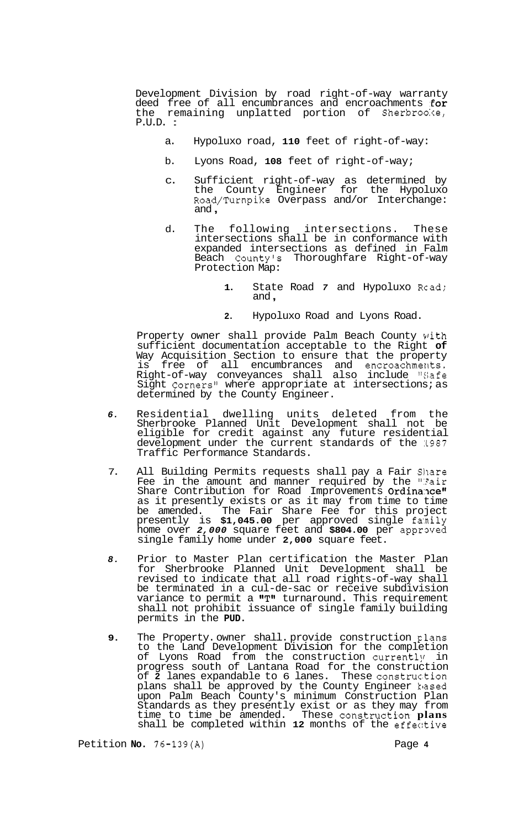Development Division by road right-of-way warranty deed free of all encumbrances and encroachments  $\mathop{\bf for}\nolimits$ the remaining unplatted portion of Sherbrooke, P.U.D. :

- a. Hypoluxo road, **110** feet of right-of-way:
- b. Lyons Road, **108** feet of right-of-way;
- c. Sufficient right-of-way as determined by the County Engineer for the Hypoluxo Road/Turnpike Overpass and/or Interchange: and ,
- d. The following intersections. These intersections shall be in conformance with expanded intersections as defined in Falm Beach Countyls Thoroughfare Right-of-way Protection Map:
	- **1.** State Road *7* and Hypoluxo Rcad; and ,
	- **2.** Hypoluxo Road and Lyons Road.

Property owner shall provide Palm Beach County vith sufficient documentation acceptable to the Right **of**  Way Acquisition Section to ensure that the property is free of all encumbrances and encroachments. Right-of-way conveyances shall also include "Safe Sight Corners" where appropriate at intersections; as determined by the County Engineer.

- *6.* Residential dwelling units deleted from the Sherbrooke Planned Unit Development shall not be eligible for credit against any future residential development under the current standards of the 1987 Traffic Performance Standards.
- 7. All Building Permits requests shall pay a Fair Share Fee in the amount and manner required by the ":air Share Contribution for Road Improvements Ordinance" as it presently exists or as it may from time to time be amended. The Fair Share Fee for this project presently is **\$1,045.00** per approved single fanily home over *2,000* square feet and **\$804.00** per appraved single family home under **2,000** square feet.
- *8.* Prior to Master Plan certification the Master Plan for Sherbrooke Planned Unit Development shall be revised to indicate that all road rights-of-way shall be terminated in a cul-de-sac or receive subdivision variance to permit a  $\mathbf{''T}$ " turnaround. This requirement shall not prohibit issuance of single family building permits in the **PUD.**
- 9. The Property. owner shall. provide construction plans to the Land Development Division for the completion of Lyons Road from the construction currently in progress south of Lantana Road for the construction of 2 lanes expandable to 6 lanes. These construction plans shall be approved by the County Engineer kased upon Palm Beach County's minimum Construction Plan Standards as they presently exist or as they may from time to time be amended. These construction **plans** shall be completed within **12** months of the effec:tive

Petition **No.** 76-139(A) Page **4**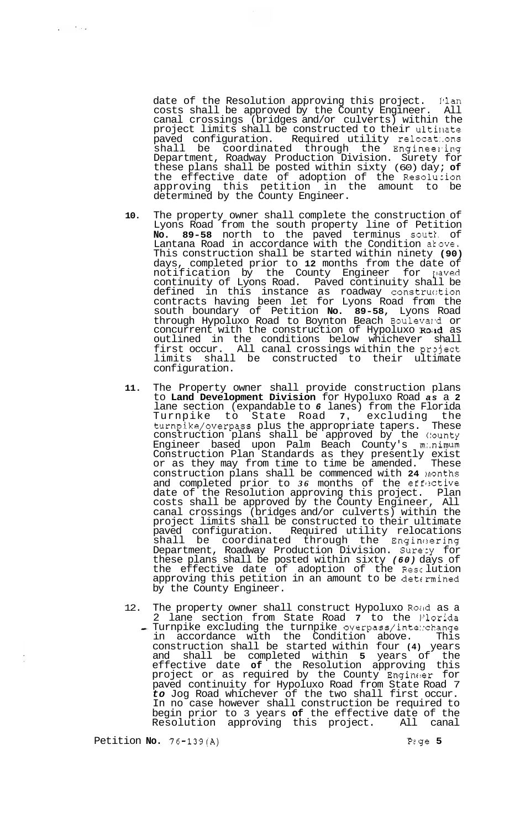date of the Resolution approving this project. I'lan costs shall be approved by the County Engineer. All canal crossings (bridges and/or culverts) within the project limits shall be constructed to their ultinate paved configuration. Required utility relocat:.ons shall be coordinated through the Engineering Department, Roadway Production Division. Surety for these plans shall be posted within sixty (60) day; **of**  the effective date of adoption of the Resolucion approving this petition in the amount to be determined by the County Engineer.

- **10.**  The property owner shall complete the construction of Lyons Road from the south property line of Petition **No. 89-58** north to the paved terminus soutl. of Lantana Road in accordance with the Condition akove. This construction shall be started within ninety **(90)**  days, completed prior to **12** months from the date of notification by the County Engineer for paved continuity of Lyons Road. Paved continuity shall be defined in this instance as roadway construction contracts having been let for Lyons Road from the south boundary of Petition **No. 89-58,** Lyons Road through Hypoluxo Road to Boynton Beach Bouleval-d or concurrent with the construction of Hypoluxo Roid as outlined in the conditions below whichever shall first occur. All canal crossings within the project limits shall be constructed to their ultimate configuration.
- **11.**  The Property owner shall provide construction plans to **Land Development Division** for Hypoluxo Road *as* a **2**  lane section (expandable to 6 lanes) from the Florida<br>Turnpike to State Road 7, excluding the<br> $\frac{1}{100}$  find the appropriate tapers. These Turnpike to State Road **7,** excluding the turnpike/overpass plus the appropriate tapers. These construction plans shall be approved by the (!ounty Engineer based upon Palm Beach County's m:.nimum Construction Plan Standards as they presently exist or as they may from time to time be amended. These construction plans shall be commenced with **24** lnonths and completed prior to 36 months of the effective date of the Resolution approving this project. Plan costs shall be approved by the County Engineer, All canal crossings (bridges and/or culverts) within the project limits shall be constructed to their ultimate paved configuration. Required utility relocations shall be coordinated through the Engineering Department, Roadway Production Division. Sure:y for these plans shall be posted within sixty *(60)* days of the effective date of adoption of the Resc lution approving this petition in an amount to be determined by the County Engineer.
- 12. The property owner shall construct Hypoluxo Roud as a 2 lane section from State Road 7 to the *Florida*<br>- Turnpike excluding the turnpike overpass/inte:.change in accordance with the Condition above. This construction shall be started within four **(4)** years and shall be completed within **5** years of the effective date **of** the Resolution approving this project or as required by the County Engineer for paved continuity for Hypoluxo Road from State Road 7 *to* Jog Road whichever of the two shall first occur. In no case however shall construction be required to begin prior to 3 years **of** the effective date of the Resolution approving this project. All canal

Petition **No.** 76-139(A) Pzge **5**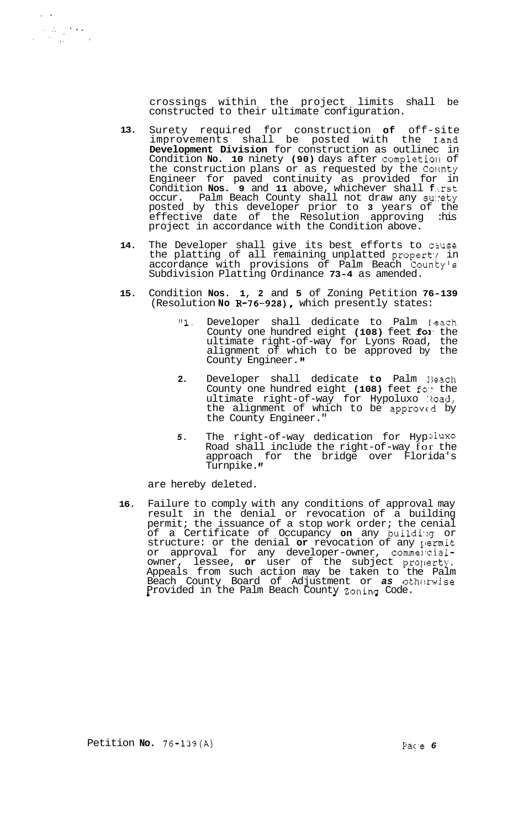crossings within the project limits shall be constructed to their ultimate configuration.

- **13.**  Surety required for construction **of** off-site improvements shall be posted with the **Iand Development Division** for construction as outlinec in Condition **No. 10** ninety (90) days after completion of the construction plans or as requested by the Collnty Engineer for paved continuity as provided for in Condition **Nos. 9** and **11** above, whichever shall **f** .Lrst occur. Palm Beach County shall not draw any surety posted by this developer prior to **3** years of the effective date of the Resolution approving :his project in accordance with the Condition above.
- **14.**  The Developer shall give its best efforts to c3use the platting of all remaining unplatted property in accordance with provisions of Palm Beach Countyls Subdivision Platting Ordinance **73-4** as amended.
- **15.**  Condition **Nos. 1, 2** and **5** of Zoning Petition **76-139**  (Resolution **No R-76-928),** which presently states:
	- **"1.** Developer shall dedicate to Palm €#each County one hundred eight (108) feet for the ultimate right-of-way for Lyons Road, the alignment of which to be approved by the County Engineer.
	- **2.** Developer shall dedicate **to** Palm 13each County one hundred eight **(108)** feet fo:? the ultimate right-of-way for Hypoluxo Road, the alignment of which to be approved by the County Engineer."
	- **5**. The right-of-way dedication for Hyp<sup>3luxo</sup> Road shall include the right-of-way for the approach for the bridge over Florida's Turnpike. **If**

are hereby deleted.

 $\label{eq:2.1} \frac{1}{\sqrt{2}}\sum_{i=1}^{N} \frac{1}{N_i} \sum_{j=1}^{N} \frac{1}{N_j} \sum_{j=1}^{N} \frac{1}{N_j} \sum_{j=1}^{N} \frac{1}{N_j} \sum_{j=1}^{N} \frac{1}{N_j} \sum_{j=1}^{N} \frac{1}{N_j} \sum_{j=1}^{N} \frac{1}{N_j} \sum_{j=1}^{N} \frac{1}{N_j} \sum_{j=1}^{N} \frac{1}{N_j} \sum_{j=1}^{N} \frac{1}{N_j} \sum_{j=1}^{N} \frac{1}{N_j} \sum_{$ 

**16.**  Failure to comply with any conditions of approval may result in the denial or revocation of a building permit; the issuance of a stop work order; the cenial of a Certificate of Occupancy on any building or structure: or the denial or revocation of any yermit or approval for any developer-owner, commercialowner, lessee, or user of the subject property, Appeals from such action may be taken to the Palm Beach County Board of Adjustment or as otherwise Provided in the Palm Beach County Zoninq Code.